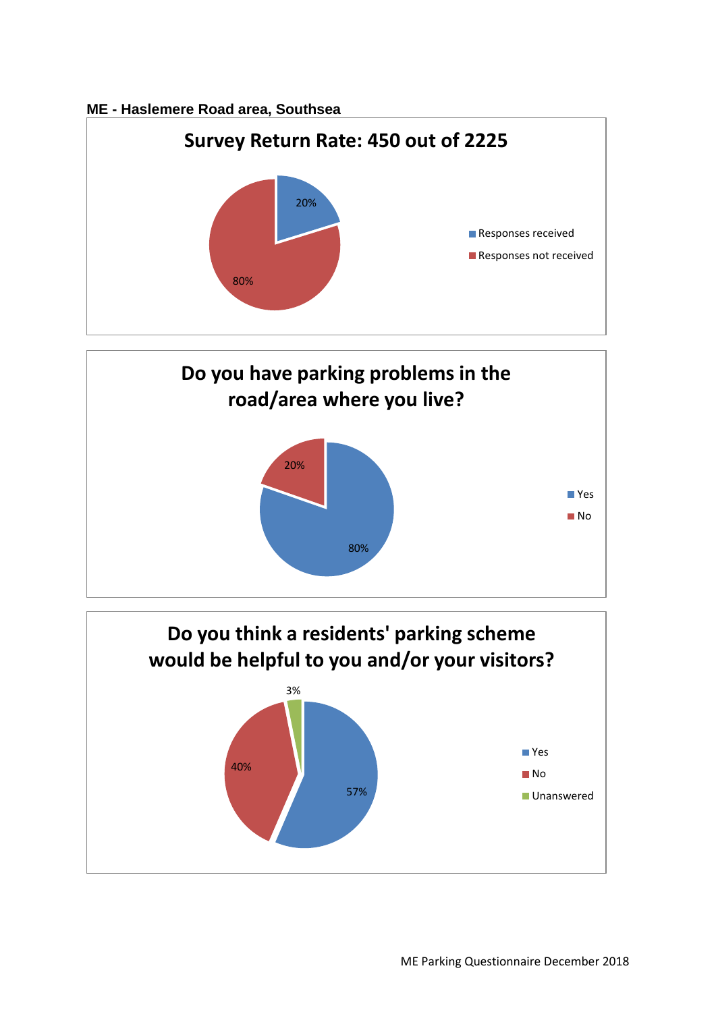## **ME - Haslemere Road area, Southsea**





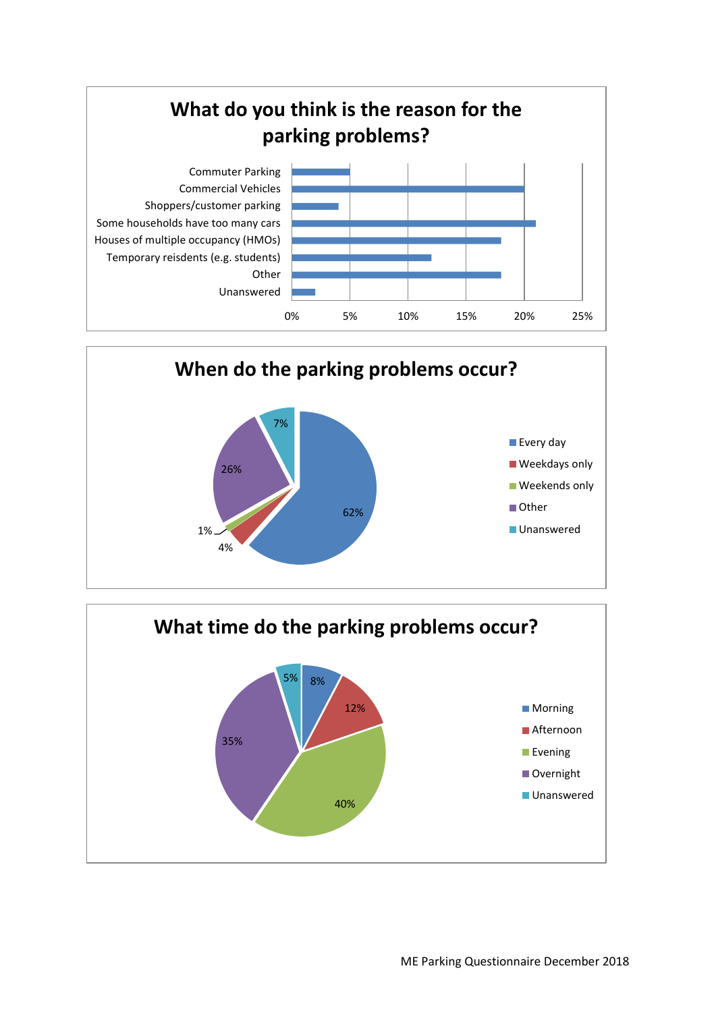



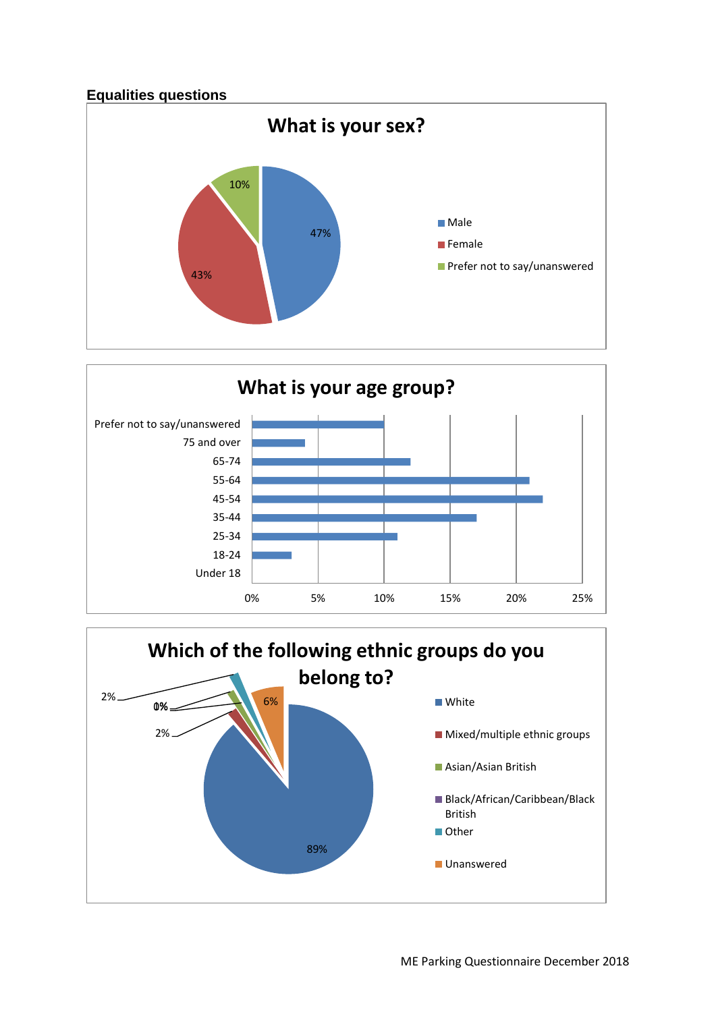



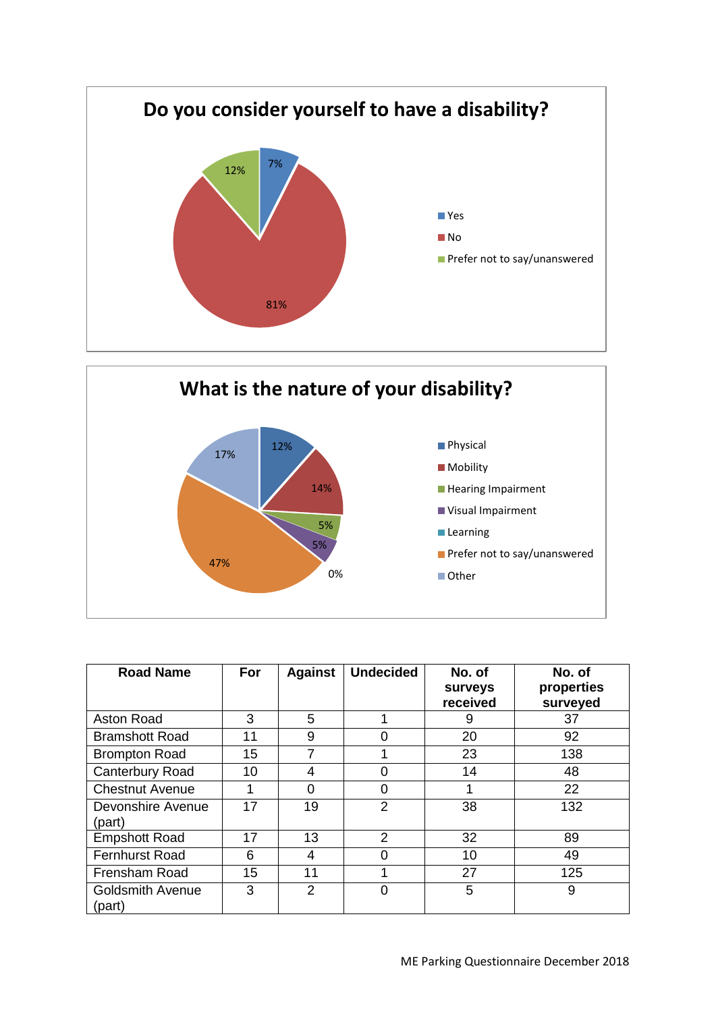



| <b>Road Name</b>                  | For | <b>Against</b> | <b>Undecided</b> | No. of<br><b>Surveys</b><br>received | No. of<br>properties<br>surveyed |
|-----------------------------------|-----|----------------|------------------|--------------------------------------|----------------------------------|
| Aston Road                        | 3   | 5              |                  | 9                                    | 37                               |
| <b>Bramshott Road</b>             | 11  | 9              |                  | 20                                   | 92                               |
| <b>Brompton Road</b>              | 15  | 7              |                  | 23                                   | 138                              |
| Canterbury Road                   | 10  | 4              | 0                | 14                                   | 48                               |
| <b>Chestnut Avenue</b>            | 1   | 0              | Ω                |                                      | 22                               |
| Devonshire Avenue<br>(part)       | 17  | 19             | 2                | 38                                   | 132                              |
| <b>Empshott Road</b>              | 17  | 13             | 2                | 32                                   | 89                               |
| <b>Fernhurst Road</b>             | 6   | 4              | 0                | 10                                   | 49                               |
| <b>Frensham Road</b>              | 15  | 11             |                  | 27                                   | 125                              |
| <b>Goldsmith Avenue</b><br>(part) | 3   | 2              | ი                | 5                                    | 9                                |